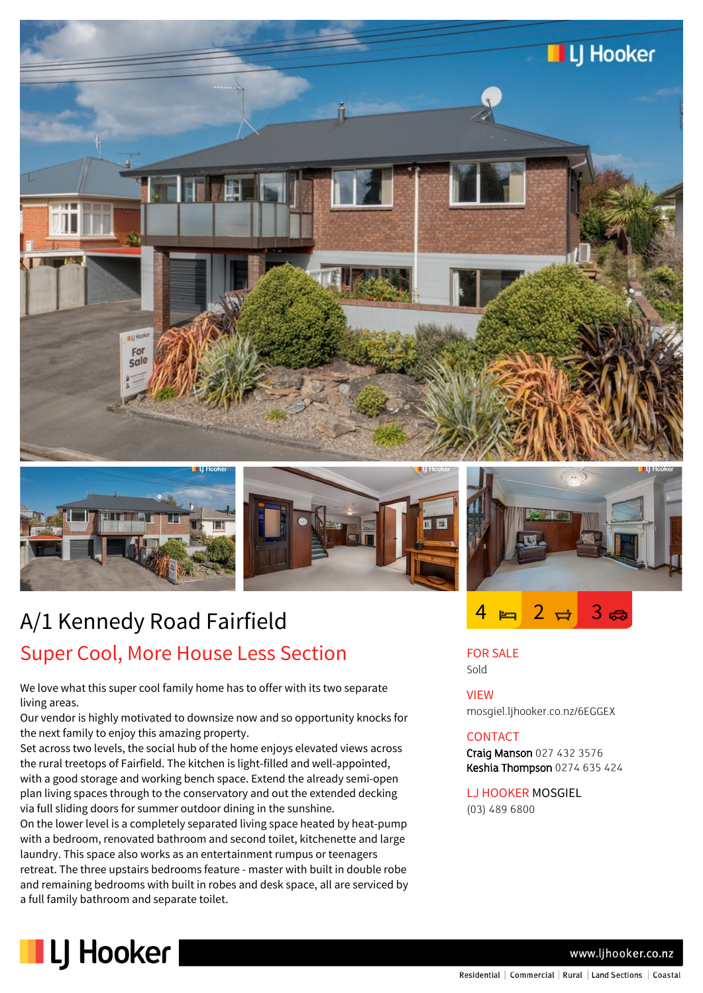





# A/1 Kennedy Road Fairfield Super Cool, More House Less Section

We love what this super cool family home has to offer with its two separate living areas.

Our vendor is highly motivated to downsize now and so opportunity knocks for the next family to enjoy this amazing property.

Set across two levels, the social hub of the home enjoys elevated views across the rural treetops of Fairfield. The kitchen is light-filled and well-appointed, with a good storage and working bench space. Extend the already semi-open plan living spaces through to the conservatory and out the extended decking via full sliding doors for summer outdoor dining in the sunshine.

On the lower level is a completely separated living space heated by heat-pump with a bedroom, renovated bathroom and second toilet, kitchenette and large laundry. This space also works as an entertainment rumpus or teenagers retreat. The three upstairs bedrooms feature - master with built in double robe and remaining bedrooms with built in robes and desk space, all are serviced by a full family bathroom and separate toilet.



# FOR SALE

Sold

VIEW mosgiel.ljhooker.co.nz/6EGGEX

 $4 \approx 2 \approx 3$ 

### CONTACT

Craig Manson 027 432 3576 Keshia Thompson 0274 635 424

LJ HOOKER MOSGIEL (03) 489 6800



www.lihooker.co.nz